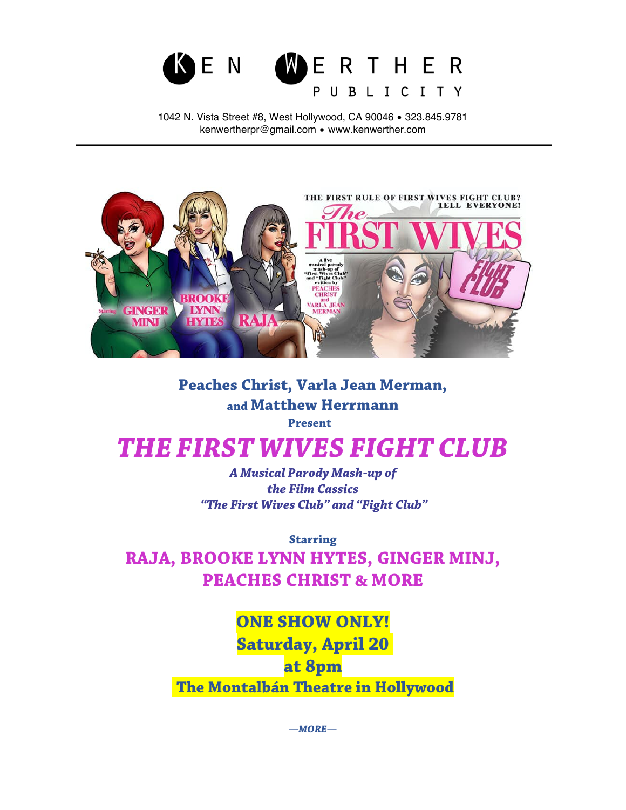

1042 N. Vista Street #8, West Hollywood, CA 90046 • 323.845.9781 kenwertherpr@gmail.com • www.kenwerther.com



## **Peaches Christ, Varla Jean Merman, and Matthew Herrmann Present**

## *THE FIRST WIVES FIGHT CLUB*

*A Musical Parody Mash-up of the Film Cassics "The First Wives Club" and "Fight Club"*

**Starring RAJA, BROOKE LYNN HYTES, GINGER MINJ, PEACHES CHRIST & MORE**

> **ONE SHOW ONLY! Saturday, April 20 at 8pm The Montalbán Theatre in Hollywood**

> > *—MORE—*